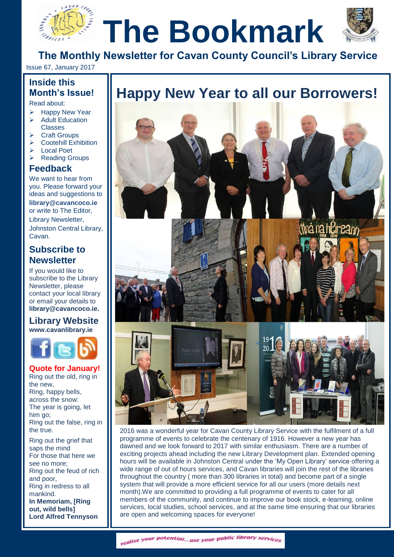



**The Monthly Newsletter for Cavan County Council's Library Service**

Issue 67, January 2017

# **Inside this Month's Issue!**

Read about:

- Happy New Year  $\triangleright$  Adult Education **Classes** 
	- Craft Groups
- $\triangleright$  Cootehill Exhibition
- Local Poet
- Reading Groups
- **Feedback**

We want to hear from you. Please forward your ideas and suggestions to **[library@cavancoco.ie](mailto:info@cavanlibrary.ie?subject=Newsletter%20ideas%20&%20Feedback)** or write to The Editor, Library Newsletter, Johnston Central Library, Cavan.

# **Subscribe to Newsletter**

If you would like to subscribe to the Library Newsletter, please contact your local library or email your details to **[library@cavancoco.ie.](mailto:library@cavancoco.ie)**

#### **Library Website [www.cavanlibrary.ie](http://www.cavanlibrary.ie/)**



# **Quote for January!**

Ring out the old, ring in the new, Ring, happy bells, across the snow: The year is going, let him go; Ring out the false, ring in the true.

Ring out the grief that saps the mind For those that here we see no more; Ring out the feud of rich and poor, Ring in redress to all mankind. **In Memoriam, [Ring** 

**out, wild bells] [Lord Alfred Tennyson](https://www.poets.org/node/45547)**

# **Thistae this**<br>Month's Issue! | **Happy New Year to all our Borrowers!**<br>
> Happy New Year |



2016 was a wonderful year for Cavan County Library Service with the fulfilment of a full programme of events to celebrate the centenary of 1916. However a new year has dawned and we look forward to 2017 with similar enthusiasm. There are a number of exciting projects ahead including the new Library Development plan. Extended opening hours will be available in Johnston Central under the 'My Open Library' service offering a wide range of out of hours services, and Cavan libraries will join the rest of the libraries throughout the country ( more than 300 libraries in total) and become part of a single system that will provide a more efficient service for all our users (more details next month).We are committed to providing a full programme of events to cater for all members of the community, and continue to improve our book stock, e-learning, online services, local studies, school services, and at the same time ensuring that our libraries are open and welcoming spaces for everyone!